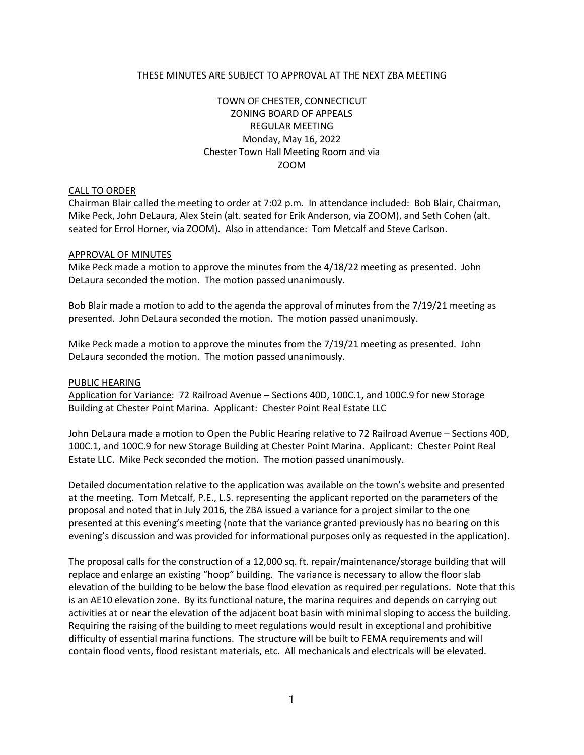### THESE MINUTES ARE SUBJECT TO APPROVAL AT THE NEXT ZBA MEETING

# TOWN OF CHESTER, CONNECTICUT ZONING BOARD OF APPEALS REGULAR MEETING Monday, May 16, 2022 Chester Town Hall Meeting Room and via ZOOM

### CALL TO ORDER

Chairman Blair called the meeting to order at 7:02 p.m. In attendance included: Bob Blair, Chairman, Mike Peck, John DeLaura, Alex Stein (alt. seated for Erik Anderson, via ZOOM), and Seth Cohen (alt. seated for Errol Horner, via ZOOM). Also in attendance: Tom Metcalf and Steve Carlson.

#### APPROVAL OF MINUTES

Mike Peck made a motion to approve the minutes from the 4/18/22 meeting as presented. John DeLaura seconded the motion. The motion passed unanimously.

Bob Blair made a motion to add to the agenda the approval of minutes from the 7/19/21 meeting as presented. John DeLaura seconded the motion. The motion passed unanimously.

Mike Peck made a motion to approve the minutes from the 7/19/21 meeting as presented. John DeLaura seconded the motion. The motion passed unanimously.

#### PUBLIC HEARING

Application for Variance: 72 Railroad Avenue – Sections 40D, 100C.1, and 100C.9 for new Storage Building at Chester Point Marina. Applicant: Chester Point Real Estate LLC

John DeLaura made a motion to Open the Public Hearing relative to 72 Railroad Avenue – Sections 40D, 100C.1, and 100C.9 for new Storage Building at Chester Point Marina. Applicant: Chester Point Real Estate LLC. Mike Peck seconded the motion. The motion passed unanimously.

Detailed documentation relative to the application was available on the town's website and presented at the meeting. Tom Metcalf, P.E., L.S. representing the applicant reported on the parameters of the proposal and noted that in July 2016, the ZBA issued a variance for a project similar to the one presented at this evening's meeting (note that the variance granted previously has no bearing on this evening's discussion and was provided for informational purposes only as requested in the application).

The proposal calls for the construction of a 12,000 sq. ft. repair/maintenance/storage building that will replace and enlarge an existing "hoop" building. The variance is necessary to allow the floor slab elevation of the building to be below the base flood elevation as required per regulations. Note that this is an AE10 elevation zone. By its functional nature, the marina requires and depends on carrying out activities at or near the elevation of the adjacent boat basin with minimal sloping to access the building. Requiring the raising of the building to meet regulations would result in exceptional and prohibitive difficulty of essential marina functions. The structure will be built to FEMA requirements and will contain flood vents, flood resistant materials, etc. All mechanicals and electricals will be elevated.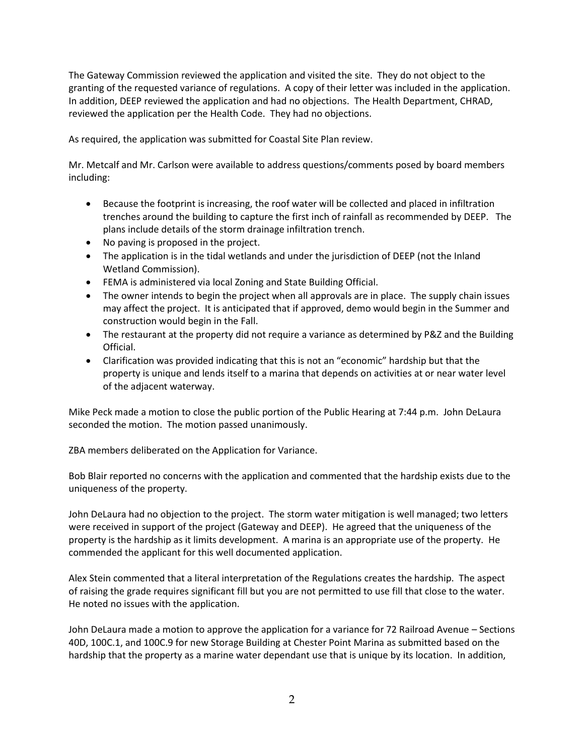The Gateway Commission reviewed the application and visited the site. They do not object to the granting of the requested variance of regulations. A copy of their letter was included in the application. In addition, DEEP reviewed the application and had no objections. The Health Department, CHRAD, reviewed the application per the Health Code. They had no objections.

As required, the application was submitted for Coastal Site Plan review.

Mr. Metcalf and Mr. Carlson were available to address questions/comments posed by board members including:

- Because the footprint is increasing, the roof water will be collected and placed in infiltration trenches around the building to capture the first inch of rainfall as recommended by DEEP. The plans include details of the storm drainage infiltration trench.
- No paving is proposed in the project.
- The application is in the tidal wetlands and under the jurisdiction of DEEP (not the Inland Wetland Commission).
- FEMA is administered via local Zoning and State Building Official.
- The owner intends to begin the project when all approvals are in place. The supply chain issues may affect the project. It is anticipated that if approved, demo would begin in the Summer and construction would begin in the Fall.
- The restaurant at the property did not require a variance as determined by P&Z and the Building Official.
- Clarification was provided indicating that this is not an "economic" hardship but that the property is unique and lends itself to a marina that depends on activities at or near water level of the adjacent waterway.

Mike Peck made a motion to close the public portion of the Public Hearing at 7:44 p.m. John DeLaura seconded the motion. The motion passed unanimously.

ZBA members deliberated on the Application for Variance.

Bob Blair reported no concerns with the application and commented that the hardship exists due to the uniqueness of the property.

John DeLaura had no objection to the project. The storm water mitigation is well managed; two letters were received in support of the project (Gateway and DEEP). He agreed that the uniqueness of the property is the hardship as it limits development. A marina is an appropriate use of the property. He commended the applicant for this well documented application.

Alex Stein commented that a literal interpretation of the Regulations creates the hardship. The aspect of raising the grade requires significant fill but you are not permitted to use fill that close to the water. He noted no issues with the application.

John DeLaura made a motion to approve the application for a variance for 72 Railroad Avenue – Sections 40D, 100C.1, and 100C.9 for new Storage Building at Chester Point Marina as submitted based on the hardship that the property as a marine water dependant use that is unique by its location. In addition,